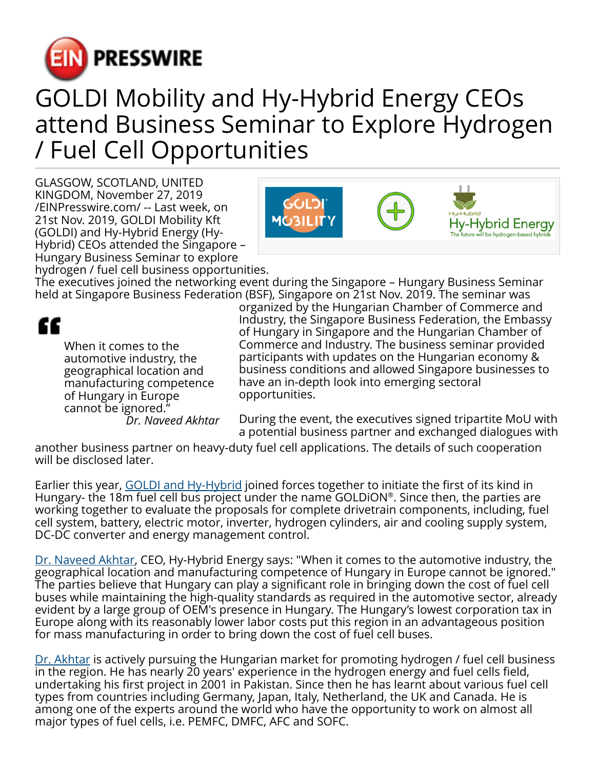

## GOLDI Mobility and Hy-Hybrid Energy CEOs attend Business Seminar to Explore Hydrogen / Fuel Cell Opportunities

GLASGOW, SCOTLAND, UNITED KINGDOM, November 27, 2019 [/EINPresswire.com/](http://www.einpresswire.com) -- Last week, on 21st Nov. 2019, GOLDI Mobility Kft (GOLDI) and Hy-Hybrid Energy (Hy-Hybrid) CEOs attended the Singapore – Hungary Business Seminar to explore



hydrogen / fuel cell business opportunities. The executives joined the networking event during the Singapore – Hungary Business Seminar held at Singapore Business Federation (BSF), Singapore on 21st Nov. 2019. The seminar was

## ££

When it comes to the automotive industry, the geographical location and manufacturing competence of Hungary in Europe cannot be ignored." *Dr. Naveed Akhtar* organized by the Hungarian Chamber of Commerce and Industry, the Singapore Business Federation, the Embassy of Hungary in Singapore and the Hungarian Chamber of Commerce and Industry. The business seminar provided participants with updates on the Hungarian economy & business conditions and allowed Singapore businesses to have an in-depth look into emerging sectoral opportunities.

During the event, the executives signed tripartite MoU with a potential business partner and exchanged dialogues with

another business partner on heavy-duty fuel cell applications. The details of such cooperation will be disclosed later.

Earlier this year, [GOLDI and Hy-Hybrid](https://c21b09ca-bc7d-4719-910a-4ff06d7bbf95.filesusr.com/ugd/e27014_7adc454ce6404e1296aec31f06957a60.pdf) joined forces together to initiate the first of its kind in Hungary- the 18m fuel cell bus project under the name GOLDiON® . Since then, the parties are working together to evaluate the proposals for complete drivetrain components, including, fuel cell system, battery, electric motor, inverter, hydrogen cylinders, air and cooling supply system, DC-DC converter and energy management control.

[Dr. Naveed Akhtar,](https://www.hy-hybrid.com/about-us) CEO, Hy-Hybrid Energy says: "When it comes to the automotive industry, the geographical location and manufacturing competence of Hungary in Europe cannot be ignored." The parties believe that Hungary can play a significant role in bringing down the cost of fuel cell buses while maintaining the high-quality standards as required in the automotive sector, already evident by a large group of OEM's presence in Hungary. The Hungary's lowest corporation tax in Europe along with its reasonably lower labor costs put this region in an advantageous position for mass manufacturing in order to bring down the cost of fuel cell buses.

[Dr. Akhtar](https://sites.google.com/site/navtar432/) is actively pursuing the Hungarian market for promoting hydrogen / fuel cell business in the region. He has nearly 20 years' experience in the hydrogen energy and fuel cells field, undertaking his first project in 2001 in Pakistan. Since then he has learnt about various fuel cell types from countries including Germany, Japan, Italy, Netherland, the UK and Canada. He is among one of the experts around the world who have the opportunity to work on almost all major types of fuel cells, i.e. PEMFC, DMFC, AFC and SOFC.